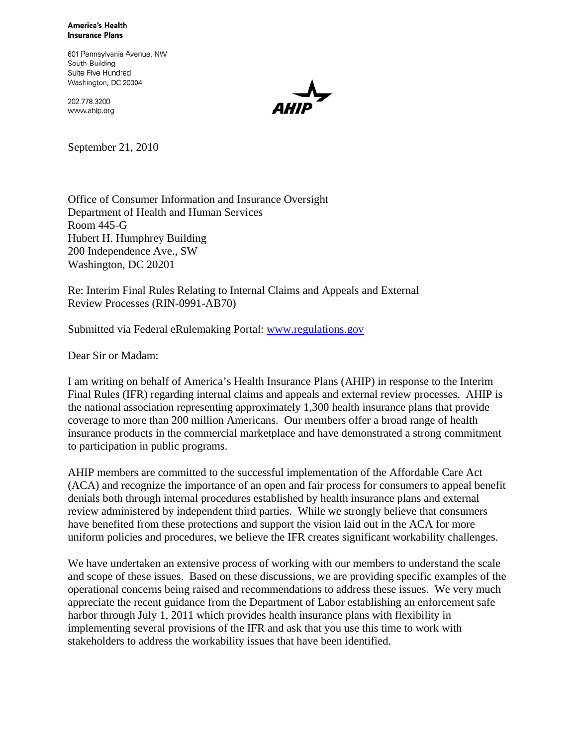**America's Health Insurance Plans** 

601 Pennsylvania Avenue, NW South Building Suite Five Hundred Washington, DC 20004

202.778.3200 www.ahip.org



September 21, 2010

Office of Consumer Information and Insurance Oversight Department of Health and Human Services Room 445-G Hubert H. Humphrey Building 200 Independence Ave., SW Washington, DC 20201

Re: Interim Final Rules Relating to Internal Claims and Appeals and External Review Processes (RIN-0991-AB70)

Submitted via Federal eRulemaking Portal: www.regulations.gov

Dear Sir or Madam:

I am writing on behalf of America's Health Insurance Plans (AHIP) in response to the Interim Final Rules (IFR) regarding internal claims and appeals and external review processes. AHIP is the national association representing approximately 1,300 health insurance plans that provide coverage to more than 200 million Americans. Our members offer a broad range of health insurance products in the commercial marketplace and have demonstrated a strong commitment to participation in public programs.

AHIP members are committed to the successful implementation of the Affordable Care Act (ACA) and recognize the importance of an open and fair process for consumers to appeal benefit denials both through internal procedures established by health insurance plans and external review administered by independent third parties. While we strongly believe that consumers have benefited from these protections and support the vision laid out in the ACA for more uniform policies and procedures, we believe the IFR creates significant workability challenges.

We have undertaken an extensive process of working with our members to understand the scale and scope of these issues. Based on these discussions, we are providing specific examples of the operational concerns being raised and recommendations to address these issues. We very much appreciate the recent guidance from the Department of Labor establishing an enforcement safe harbor through July 1, 2011 which provides health insurance plans with flexibility in implementing several provisions of the IFR and ask that you use this time to work with stakeholders to address the workability issues that have been identified.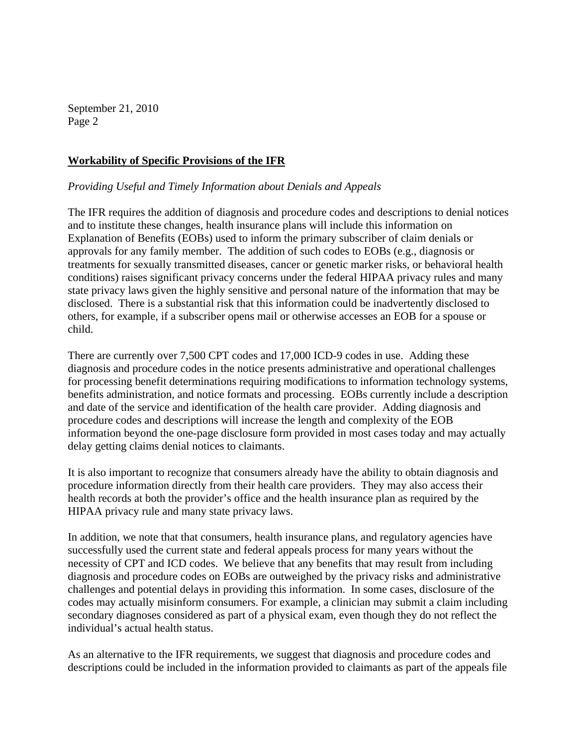# **Workability of Specific Provisions of the IFR**

#### *Providing Useful and Timely Information about Denials and Appeals*

The IFR requires the addition of diagnosis and procedure codes and descriptions to denial notices and to institute these changes, health insurance plans will include this information on Explanation of Benefits (EOBs) used to inform the primary subscriber of claim denials or approvals for any family member. The addition of such codes to EOBs (e.g., diagnosis or treatments for sexually transmitted diseases, cancer or genetic marker risks, or behavioral health conditions) raises significant privacy concerns under the federal HIPAA privacy rules and many state privacy laws given the highly sensitive and personal nature of the information that may be disclosed. There is a substantial risk that this information could be inadvertently disclosed to others, for example, if a subscriber opens mail or otherwise accesses an EOB for a spouse or child.

There are currently over 7,500 CPT codes and 17,000 ICD-9 codes in use. Adding these diagnosis and procedure codes in the notice presents administrative and operational challenges for processing benefit determinations requiring modifications to information technology systems, benefits administration, and notice formats and processing. EOBs currently include a description and date of the service and identification of the health care provider. Adding diagnosis and procedure codes and descriptions will increase the length and complexity of the EOB information beyond the one-page disclosure form provided in most cases today and may actually delay getting claims denial notices to claimants.

It is also important to recognize that consumers already have the ability to obtain diagnosis and procedure information directly from their health care providers. They may also access their health records at both the provider's office and the health insurance plan as required by the HIPAA privacy rule and many state privacy laws.

In addition, we note that that consumers, health insurance plans, and regulatory agencies have successfully used the current state and federal appeals process for many years without the necessity of CPT and ICD codes. We believe that any benefits that may result from including diagnosis and procedure codes on EOBs are outweighed by the privacy risks and administrative challenges and potential delays in providing this information. In some cases, disclosure of the codes may actually misinform consumers. For example, a clinician may submit a claim including secondary diagnoses considered as part of a physical exam, even though they do not reflect the individual's actual health status.

As an alternative to the IFR requirements, we suggest that diagnosis and procedure codes and descriptions could be included in the information provided to claimants as part of the appeals file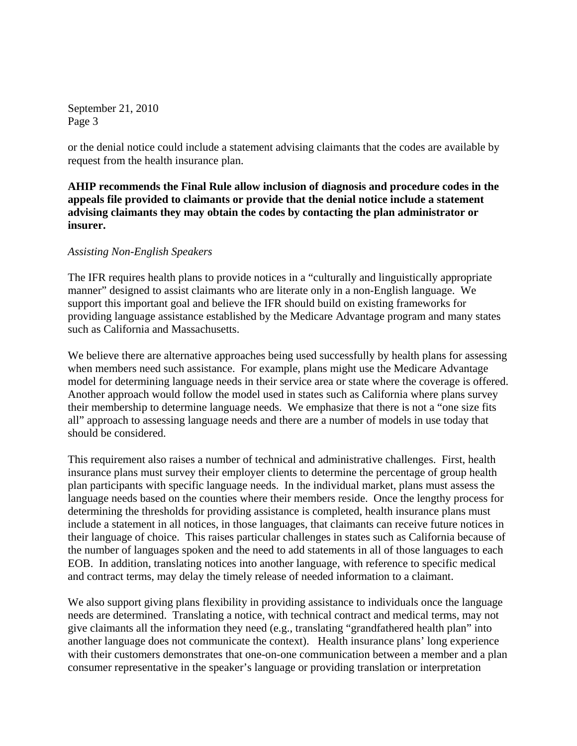or the denial notice could include a statement advising claimants that the codes are available by request from the health insurance plan.

**AHIP recommends the Final Rule allow inclusion of diagnosis and procedure codes in the appeals file provided to claimants or provide that the denial notice include a statement advising claimants they may obtain the codes by contacting the plan administrator or insurer.** 

#### *Assisting Non-English Speakers*

The IFR requires health plans to provide notices in a "culturally and linguistically appropriate manner" designed to assist claimants who are literate only in a non-English language. We support this important goal and believe the IFR should build on existing frameworks for providing language assistance established by the Medicare Advantage program and many states such as California and Massachusetts.

We believe there are alternative approaches being used successfully by health plans for assessing when members need such assistance. For example, plans might use the Medicare Advantage model for determining language needs in their service area or state where the coverage is offered. Another approach would follow the model used in states such as California where plans survey their membership to determine language needs. We emphasize that there is not a "one size fits all" approach to assessing language needs and there are a number of models in use today that should be considered.

This requirement also raises a number of technical and administrative challenges. First, health insurance plans must survey their employer clients to determine the percentage of group health plan participants with specific language needs. In the individual market, plans must assess the language needs based on the counties where their members reside. Once the lengthy process for determining the thresholds for providing assistance is completed, health insurance plans must include a statement in all notices, in those languages, that claimants can receive future notices in their language of choice. This raises particular challenges in states such as California because of the number of languages spoken and the need to add statements in all of those languages to each EOB. In addition, translating notices into another language, with reference to specific medical and contract terms, may delay the timely release of needed information to a claimant.

We also support giving plans flexibility in providing assistance to individuals once the language needs are determined. Translating a notice, with technical contract and medical terms, may not give claimants all the information they need (e.g., translating "grandfathered health plan" into another language does not communicate the context). Health insurance plans' long experience with their customers demonstrates that one-on-one communication between a member and a plan consumer representative in the speaker's language or providing translation or interpretation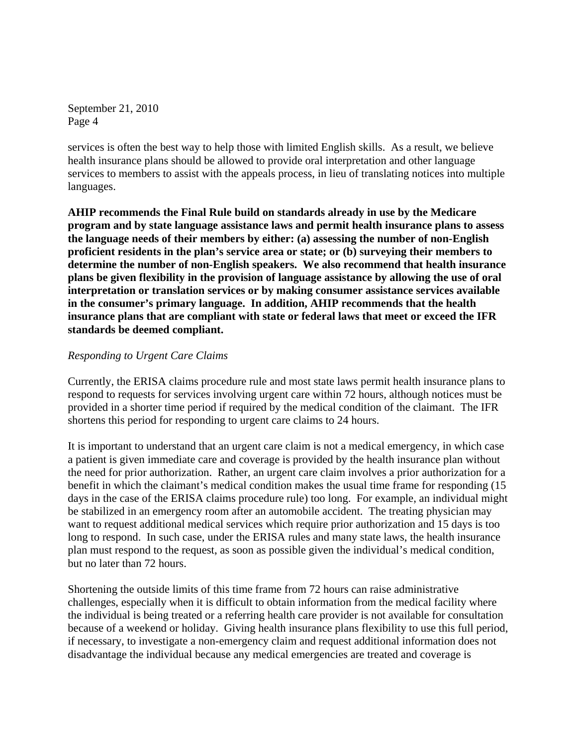services is often the best way to help those with limited English skills. As a result, we believe health insurance plans should be allowed to provide oral interpretation and other language services to members to assist with the appeals process, in lieu of translating notices into multiple languages.

**AHIP recommends the Final Rule build on standards already in use by the Medicare program and by state language assistance laws and permit health insurance plans to assess the language needs of their members by either: (a) assessing the number of non-English proficient residents in the plan's service area or state; or (b) surveying their members to determine the number of non-English speakers. We also recommend that health insurance plans be given flexibility in the provision of language assistance by allowing the use of oral interpretation or translation services or by making consumer assistance services available in the consumer's primary language. In addition, AHIP recommends that the health insurance plans that are compliant with state or federal laws that meet or exceed the IFR standards be deemed compliant.** 

### *Responding to Urgent Care Claims*

Currently, the ERISA claims procedure rule and most state laws permit health insurance plans to respond to requests for services involving urgent care within 72 hours, although notices must be provided in a shorter time period if required by the medical condition of the claimant. The IFR shortens this period for responding to urgent care claims to 24 hours.

It is important to understand that an urgent care claim is not a medical emergency, in which case a patient is given immediate care and coverage is provided by the health insurance plan without the need for prior authorization. Rather, an urgent care claim involves a prior authorization for a benefit in which the claimant's medical condition makes the usual time frame for responding (15 days in the case of the ERISA claims procedure rule) too long. For example, an individual might be stabilized in an emergency room after an automobile accident. The treating physician may want to request additional medical services which require prior authorization and 15 days is too long to respond. In such case, under the ERISA rules and many state laws, the health insurance plan must respond to the request, as soon as possible given the individual's medical condition, but no later than 72 hours.

Shortening the outside limits of this time frame from 72 hours can raise administrative challenges, especially when it is difficult to obtain information from the medical facility where the individual is being treated or a referring health care provider is not available for consultation because of a weekend or holiday. Giving health insurance plans flexibility to use this full period, if necessary, to investigate a non-emergency claim and request additional information does not disadvantage the individual because any medical emergencies are treated and coverage is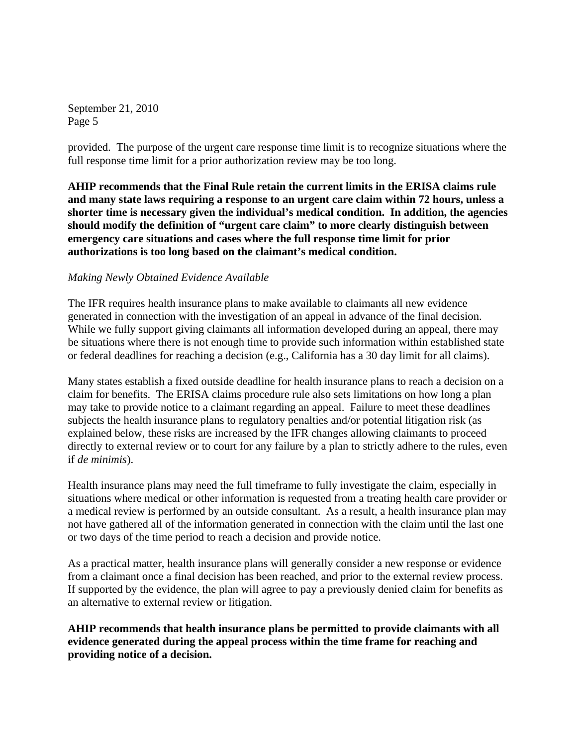provided. The purpose of the urgent care response time limit is to recognize situations where the full response time limit for a prior authorization review may be too long.

**AHIP recommends that the Final Rule retain the current limits in the ERISA claims rule and many state laws requiring a response to an urgent care claim within 72 hours, unless a shorter time is necessary given the individual's medical condition. In addition, the agencies should modify the definition of "urgent care claim" to more clearly distinguish between emergency care situations and cases where the full response time limit for prior authorizations is too long based on the claimant's medical condition.** 

# *Making Newly Obtained Evidence Available*

The IFR requires health insurance plans to make available to claimants all new evidence generated in connection with the investigation of an appeal in advance of the final decision. While we fully support giving claimants all information developed during an appeal, there may be situations where there is not enough time to provide such information within established state or federal deadlines for reaching a decision (e.g., California has a 30 day limit for all claims).

Many states establish a fixed outside deadline for health insurance plans to reach a decision on a claim for benefits. The ERISA claims procedure rule also sets limitations on how long a plan may take to provide notice to a claimant regarding an appeal. Failure to meet these deadlines subjects the health insurance plans to regulatory penalties and/or potential litigation risk (as explained below, these risks are increased by the IFR changes allowing claimants to proceed directly to external review or to court for any failure by a plan to strictly adhere to the rules, even if *de minimis*).

Health insurance plans may need the full timeframe to fully investigate the claim, especially in situations where medical or other information is requested from a treating health care provider or a medical review is performed by an outside consultant. As a result, a health insurance plan may not have gathered all of the information generated in connection with the claim until the last one or two days of the time period to reach a decision and provide notice.

As a practical matter, health insurance plans will generally consider a new response or evidence from a claimant once a final decision has been reached, and prior to the external review process. If supported by the evidence, the plan will agree to pay a previously denied claim for benefits as an alternative to external review or litigation.

**AHIP recommends that health insurance plans be permitted to provide claimants with all evidence generated during the appeal process within the time frame for reaching and providing notice of a decision.**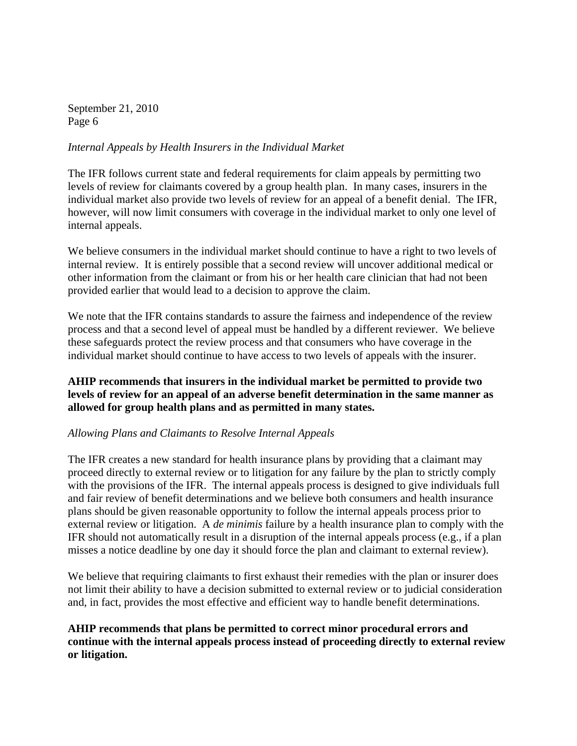### *Internal Appeals by Health Insurers in the Individual Market*

The IFR follows current state and federal requirements for claim appeals by permitting two levels of review for claimants covered by a group health plan. In many cases, insurers in the individual market also provide two levels of review for an appeal of a benefit denial. The IFR, however, will now limit consumers with coverage in the individual market to only one level of internal appeals.

We believe consumers in the individual market should continue to have a right to two levels of internal review. It is entirely possible that a second review will uncover additional medical or other information from the claimant or from his or her health care clinician that had not been provided earlier that would lead to a decision to approve the claim.

We note that the IFR contains standards to assure the fairness and independence of the review process and that a second level of appeal must be handled by a different reviewer. We believe these safeguards protect the review process and that consumers who have coverage in the individual market should continue to have access to two levels of appeals with the insurer.

# **AHIP recommends that insurers in the individual market be permitted to provide two levels of review for an appeal of an adverse benefit determination in the same manner as allowed for group health plans and as permitted in many states.**

### *Allowing Plans and Claimants to Resolve Internal Appeals*

The IFR creates a new standard for health insurance plans by providing that a claimant may proceed directly to external review or to litigation for any failure by the plan to strictly comply with the provisions of the IFR. The internal appeals process is designed to give individuals full and fair review of benefit determinations and we believe both consumers and health insurance plans should be given reasonable opportunity to follow the internal appeals process prior to external review or litigation. A *de minimis* failure by a health insurance plan to comply with the IFR should not automatically result in a disruption of the internal appeals process (e.g., if a plan misses a notice deadline by one day it should force the plan and claimant to external review).

We believe that requiring claimants to first exhaust their remedies with the plan or insurer does not limit their ability to have a decision submitted to external review or to judicial consideration and, in fact, provides the most effective and efficient way to handle benefit determinations.

# **AHIP recommends that plans be permitted to correct minor procedural errors and continue with the internal appeals process instead of proceeding directly to external review or litigation.**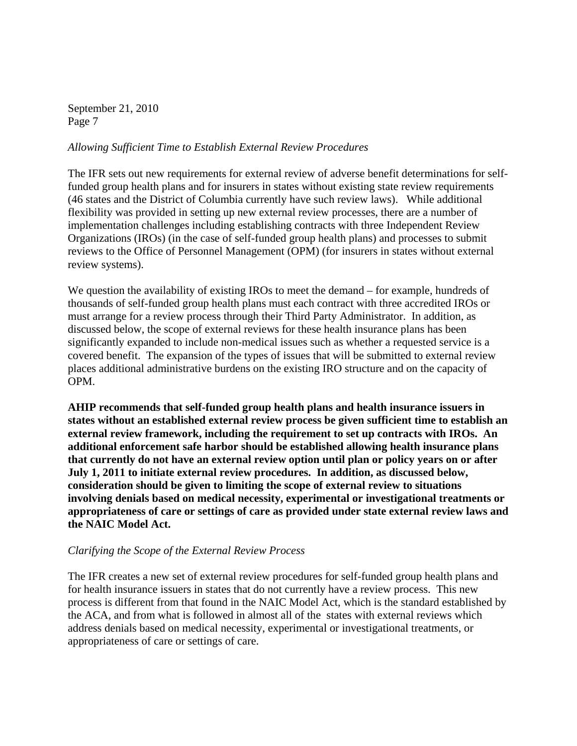### *Allowing Sufficient Time to Establish External Review Procedures*

The IFR sets out new requirements for external review of adverse benefit determinations for selffunded group health plans and for insurers in states without existing state review requirements (46 states and the District of Columbia currently have such review laws). While additional flexibility was provided in setting up new external review processes, there are a number of implementation challenges including establishing contracts with three Independent Review Organizations (IROs) (in the case of self-funded group health plans) and processes to submit reviews to the Office of Personnel Management (OPM) (for insurers in states without external review systems).

We question the availability of existing IROs to meet the demand – for example, hundreds of thousands of self-funded group health plans must each contract with three accredited IROs or must arrange for a review process through their Third Party Administrator. In addition, as discussed below, the scope of external reviews for these health insurance plans has been significantly expanded to include non-medical issues such as whether a requested service is a covered benefit. The expansion of the types of issues that will be submitted to external review places additional administrative burdens on the existing IRO structure and on the capacity of OPM.

**AHIP recommends that self-funded group health plans and health insurance issuers in states without an established external review process be given sufficient time to establish an external review framework, including the requirement to set up contracts with IROs. An additional enforcement safe harbor should be established allowing health insurance plans that currently do not have an external review option until plan or policy years on or after July 1, 2011 to initiate external review procedures. In addition, as discussed below, consideration should be given to limiting the scope of external review to situations involving denials based on medical necessity, experimental or investigational treatments or appropriateness of care or settings of care as provided under state external review laws and the NAIC Model Act.** 

### *Clarifying the Scope of the External Review Process*

The IFR creates a new set of external review procedures for self-funded group health plans and for health insurance issuers in states that do not currently have a review process. This new process is different from that found in the NAIC Model Act, which is the standard established by the ACA, and from what is followed in almost all of the states with external reviews which address denials based on medical necessity, experimental or investigational treatments, or appropriateness of care or settings of care.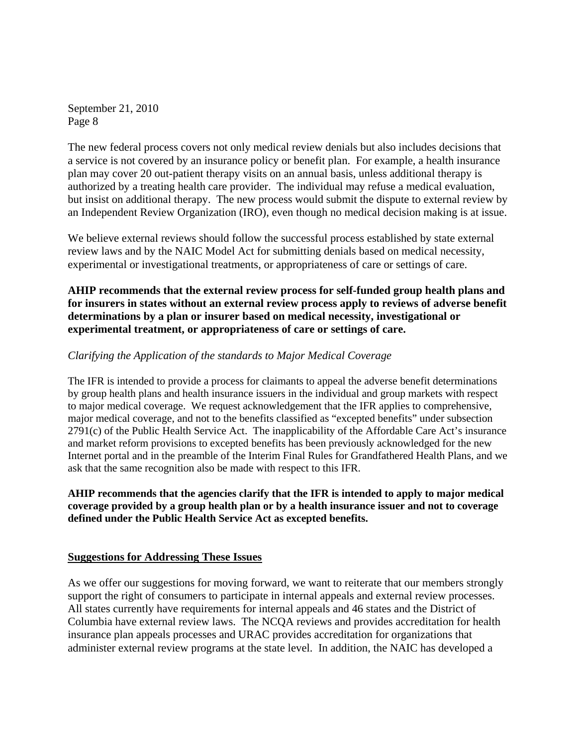The new federal process covers not only medical review denials but also includes decisions that a service is not covered by an insurance policy or benefit plan. For example, a health insurance plan may cover 20 out-patient therapy visits on an annual basis, unless additional therapy is authorized by a treating health care provider. The individual may refuse a medical evaluation, but insist on additional therapy. The new process would submit the dispute to external review by an Independent Review Organization (IRO), even though no medical decision making is at issue.

We believe external reviews should follow the successful process established by state external review laws and by the NAIC Model Act for submitting denials based on medical necessity, experimental or investigational treatments, or appropriateness of care or settings of care.

**AHIP recommends that the external review process for self-funded group health plans and for insurers in states without an external review process apply to reviews of adverse benefit determinations by a plan or insurer based on medical necessity, investigational or experimental treatment, or appropriateness of care or settings of care.** 

# *Clarifying the Application of the standards to Major Medical Coverage*

The IFR is intended to provide a process for claimants to appeal the adverse benefit determinations by group health plans and health insurance issuers in the individual and group markets with respect to major medical coverage. We request acknowledgement that the IFR applies to comprehensive, major medical coverage, and not to the benefits classified as "excepted benefits" under subsection 2791(c) of the Public Health Service Act. The inapplicability of the Affordable Care Act's insurance and market reform provisions to excepted benefits has been previously acknowledged for the new Internet portal and in the preamble of the Interim Final Rules for Grandfathered Health Plans, and we ask that the same recognition also be made with respect to this IFR.

**AHIP recommends that the agencies clarify that the IFR is intended to apply to major medical coverage provided by a group health plan or by a health insurance issuer and not to coverage defined under the Public Health Service Act as excepted benefits.**

### **Suggestions for Addressing These Issues**

As we offer our suggestions for moving forward, we want to reiterate that our members strongly support the right of consumers to participate in internal appeals and external review processes. All states currently have requirements for internal appeals and 46 states and the District of Columbia have external review laws. The NCQA reviews and provides accreditation for health insurance plan appeals processes and URAC provides accreditation for organizations that administer external review programs at the state level. In addition, the NAIC has developed a